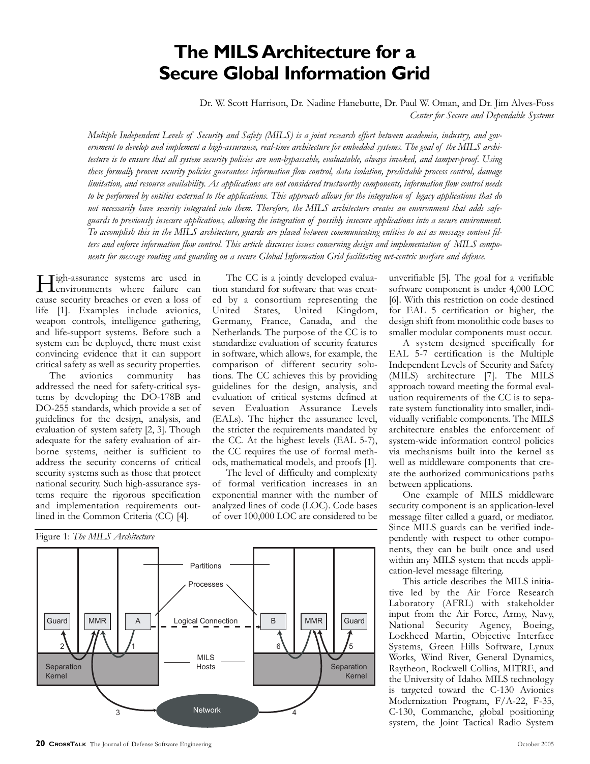# **The MILS Architecture for a Secure Global Information Grid**

Dr. W. Scott Harrison, Dr. Nadine Hanebutte, Dr. Paul W. Oman, and Dr. Jim Alves-Foss *Center for Secure and Dependable Systems*

*Multiple Independent Levels of Security and Safety (MILS) is a joint research effort between academia, industry, and government to develop and implement a high-assurance, real-time architecture for embedded systems. The goal of the MILS architecture is to ensure that all system security policies are non-bypassable, evaluatable, always invoked, and tamper-proof. Using these formally proven security policies guarantees information flow control, data isolation, predictable process control, damage limitation, and resource availability. As applications are not considered trustworthy components, information flow control needs to be performed by entities external to the applications. This approach allows for the integration of legacy applications that do not necessarily have security integrated into them. Therefore, the MILS architecture creates an environment that adds safeguards to previously insecure applications, allowing the integration of possibly insecure applications into a secure environment. To accomplish this in the MILS architecture, guards are placed between communicating entities to act as message content filters and enforce information flow control. This article discusses issues concerning design and implementation of MILS components for message routing and guarding on a secure Global Information Grid facilitating net-centric warfare and defense.*

High-assurance systems are used in environments where failure can cause security breaches or even a loss of life [1]. Examples include avionics, weapon controls, intelligence gathering, and life-support systems. Before such a system can be deployed, there must exist convincing evidence that it can support critical safety as well as security properties.

The avionics community has addressed the need for safety-critical systems by developing the DO-178B and DO-255 standards, which provide a set of guidelines for the design, analysis, and evaluation of system safety [2, 3]. Though adequate for the safety evaluation of airborne systems, neither is sufficient to address the security concerns of critical security systems such as those that protect national security. Such high-assurance systems require the rigorous specification and implementation requirements outlined in the Common Criteria (CC) [4].

The CC is a jointly developed evaluation standard for software that was created by a consortium representing the United States, United Kingdom, Germany, France, Canada, and the Netherlands. The purpose of the CC is to standardize evaluation of security features in software, which allows, for example, the comparison of different security solutions. The CC achieves this by providing guidelines for the design, analysis, and evaluation of critical systems defined at seven Evaluation Assurance Levels (EALs). The higher the assurance level, the stricter the requirements mandated by the CC. At the highest levels (EAL 5-7), the CC requires the use of formal methods, mathematical models, and proofs [1].

The level of difficulty and complexity of formal verification increases in an exponential manner with the number of analyzed lines of code (LOC). Code bases of over 100,000 LOC are considered to be



unverifiable [5]. The goal for a verifiable software component is under 4,000 LOC [6]. With this restriction on code destined for EAL 5 certification or higher, the design shift from monolithic code bases to smaller modular components must occur.

A system designed specifically for EAL 5-7 certification is the Multiple Independent Levels of Security and Safety (MILS) architecture [7]. The MILS approach toward meeting the formal evaluation requirements of the CC is to separate system functionality into smaller, individually verifiable components. The MILS architecture enables the enforcement of system-wide information control policies via mechanisms built into the kernel as well as middleware components that create the authorized communications paths between applications.

One example of MILS middleware security component is an application-level message filter called a guard, or mediator. Since MILS guards can be verified independently with respect to other components, they can be built once and used within any MILS system that needs application-level message filtering.

This article describes the MILS initiative led by the Air Force Research Laboratory (AFRL) with stakeholder input from the Air Force, Army, Navy, National Security Agency, Boeing, Lockheed Martin, Objective Interface Systems, Green Hills Software, Lynux Works, Wind River, General Dynamics, Raytheon, Rockwell Collins, MITRE, and the University of Idaho. MILS technology is targeted toward the C-130 Avionics Modernization Program, F/A-22, F-35, C-130, Commanche, global positioning system, the Joint Tactical Radio System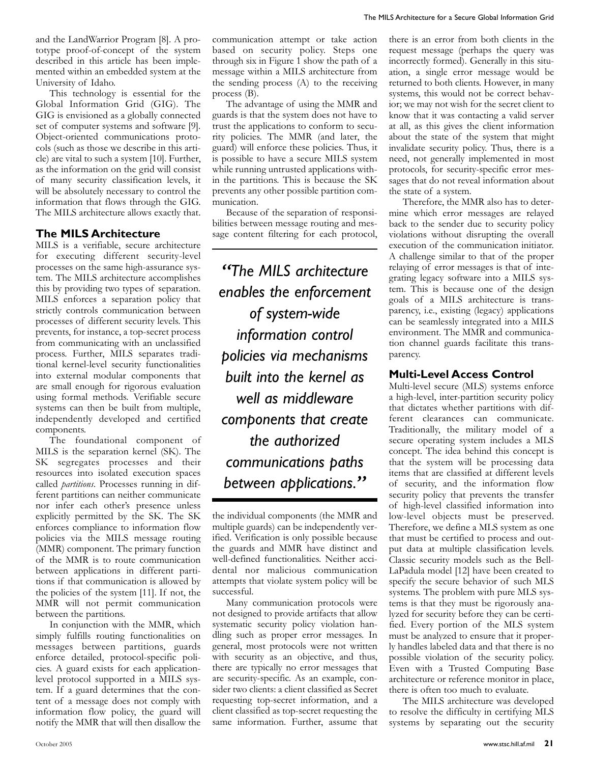and the LandWarrior Program [8]. A prototype proof-of-concept of the system described in this article has been implemented within an embedded system at the University of Idaho.

This technology is essential for the Global Information Grid (GIG). The GIG is envisioned as a globally connected set of computer systems and software [9]. Object-oriented communications protocols (such as those we describe in this article) are vital to such a system [10]. Further, as the information on the grid will consist of many security classification levels, it will be absolutely necessary to control the information that flows through the GIG. The MILS architecture allows exactly that.

## **The MILS Architecture**

MILS is a verifiable, secure architecture for executing different security-level processes on the same high-assurance system. The MILS architecture accomplishes this by providing two types of separation. MILS enforces a separation policy that strictly controls communication between processes of different security levels. This prevents, for instance, a top-secret process from communicating with an unclassified process. Further, MILS separates traditional kernel-level security functionalities into external modular components that are small enough for rigorous evaluation using formal methods. Verifiable secure systems can then be built from multiple, independently developed and certified components.

The foundational component of MILS is the separation kernel (SK). The SK segregates processes and their resources into isolated execution spaces called *partitions*. Processes running in different partitions can neither communicate nor infer each other's presence unless explicitly permitted by the SK. The SK enforces compliance to information flow policies via the MILS message routing (MMR) component. The primary function of the MMR is to route communication between applications in different partitions if that communication is allowed by the policies of the system [11]. If not, the MMR will not permit communication between the partitions.

In conjunction with the MMR, which simply fulfills routing functionalities on messages between partitions, guards enforce detailed, protocol-specific policies. A guard exists for each applicationlevel protocol supported in a MILS system. If a guard determines that the content of a message does not comply with information flow policy, the guard will notify the MMR that will then disallow the

communication attempt or take action based on security policy. Steps one through six in Figure 1 show the path of a message within a MILS architecture from the sending process (A) to the receiving process (B).

The advantage of using the MMR and guards is that the system does not have to trust the applications to conform to security policies. The MMR (and later, the guard) will enforce these policies. Thus, it is possible to have a secure MILS system while running untrusted applications within the partitions. This is because the SK prevents any other possible partition communication.

Because of the separation of responsibilities between message routing and message content filtering for each protocol,

*"The MILS architecture enables the enforcement of system-wide information control policies via mechanisms built into the kernel as well as middleware components that create the authorized communications paths between applications."*

the individual components (the MMR and multiple guards) can be independently verified. Verification is only possible because the guards and MMR have distinct and well-defined functionalities. Neither accidental nor malicious communication attempts that violate system policy will be successful.

Many communication protocols were not designed to provide artifacts that allow systematic security policy violation handling such as proper error messages. In general, most protocols were not written with security as an objective, and thus, there are typically no error messages that are security-specific. As an example, consider two clients: a client classified as Secret requesting top-secret information, and a client classified as top-secret requesting the same information. Further, assume that

there is an error from both clients in the request message (perhaps the query was incorrectly formed). Generally in this situation, a single error message would be returned to both clients. However, in many systems, this would not be correct behavior; we may not wish for the secret client to know that it was contacting a valid server at all, as this gives the client information about the state of the system that might invalidate security policy. Thus, there is a need, not generally implemented in most protocols, for security-specific error messages that do not reveal information about the state of a system.

Therefore, the MMR also has to determine which error messages are relayed back to the sender due to security policy violations without disrupting the overall execution of the communication initiator. A challenge similar to that of the proper relaying of error messages is that of integrating legacy software into a MILS system. This is because one of the design goals of a MILS architecture is transparency, i.e., existing (legacy) applications can be seamlessly integrated into a MILS environment. The MMR and communication channel guards facilitate this transparency.

## **Multi-Level Access Control**

Multi-level secure (MLS) systems enforce a high-level, inter-partition security policy that dictates whether partitions with different clearances can communicate. Traditionally, the military model of a secure operating system includes a MLS concept. The idea behind this concept is that the system will be processing data items that are classified at different levels of security, and the information flow security policy that prevents the transfer of high-level classified information into low-level objects must be preserved. Therefore, we define a MLS system as one that must be certified to process and output data at multiple classification levels. Classic security models such as the Bell-LaPadula model [12] have been created to specify the secure behavior of such MLS systems. The problem with pure MLS systems is that they must be rigorously analyzed for security before they can be certified. Every portion of the MLS system must be analyzed to ensure that it properly handles labeled data and that there is no possible violation of the security policy. Even with a Trusted Computing Base architecture or reference monitor in place, there is often too much to evaluate.

The MILS architecture was developed to resolve the difficulty in certifying MLS systems by separating out the security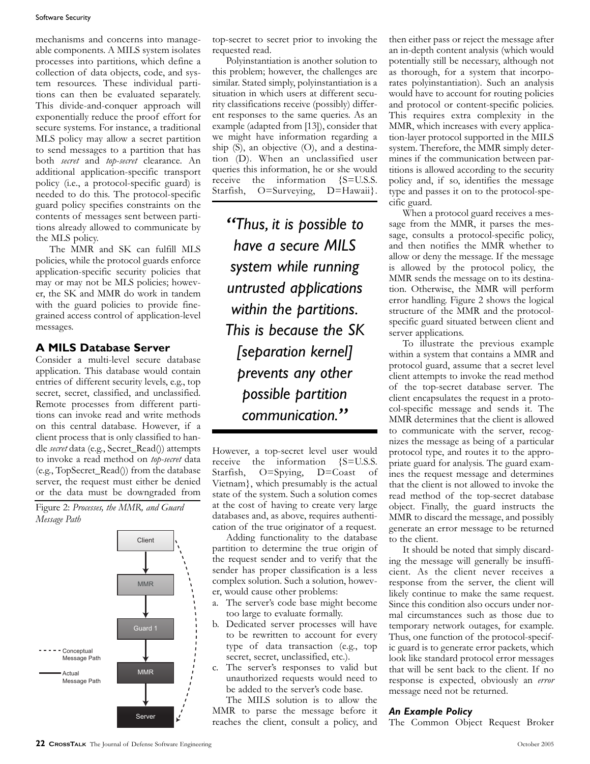#### Software Security

mechanisms and concerns into manageable components. A MILS system isolates processes into partitions, which define a collection of data objects, code, and system resources. These individual partitions can then be evaluated separately. This divide-and-conquer approach will exponentially reduce the proof effort for secure systems. For instance, a traditional MLS policy may allow a secret partition to send messages to a partition that has both *secret* and *top-secret* clearance. An additional application-specific transport policy (i.e., a protocol-specific guard) is needed to do this. The protocol-specific guard policy specifies constraints on the contents of messages sent between partitions already allowed to communicate by the MLS policy.

The MMR and SK can fulfill MLS policies, while the protocol guards enforce application-specific security policies that may or may not be MLS policies; however, the SK and MMR do work in tandem with the guard policies to provide finegrained access control of application-level messages.

## **A MILS Database Server**

Consider a multi-level secure database application. This database would contain entries of different security levels, e.g., top secret, secret, classified, and unclassified. Remote processes from different partitions can invoke read and write methods on this central database. However, if a client process that is only classified to handle *secret* data (e.g., Secret\_Read()) attempts to invoke a read method on *top-secret* data (e.g., TopSecret\_Read()) from the database  $S_{\text{start}}$ server, the request must either be denied or the data must be downgraded from secret, secret, c<br>Remote proces<br>tions can invok<br>on this central<br>client process th<br>dle *secret* data (e.<sub>5</sub><br>to invoke a read<br>server, the requ<br>or the data mu<br>Figure 2: Processe<br>Message Path  $\frac{1}{2}$ Hoy

Figure 2: *Processes, the MMR, and Guard Message Path*



top-secret to secret prior to invoking the requested read.

Polyinstantiation is another solution to this problem; however, the challenges are similar. Stated simply, polyinstantiation is a situation in which users at different security classifications receive (possibly) different responses to the same queries. As an example (adapted from [13]), consider that we might have information regarding a ship (S), an objective (O), and a destination (D). When an unclassified user queries this information, he or she would receive the information {S=U.S.S.<br>Starfish, O=Surveying, D=Hawaii}. Starfish, O=Surveying,

possible partition 6 5 *communication.""Thus, it is possible to have a secure MILS system while running untrusted applications within the partitions. This is because the SK [separation kernel] prevents any other*

However, a top-secret level user would receive the information {S=U.S.S. Starfish, O=Spying, D=Coast of Vietnam}, which presumably is the actual state of the system. Such a solution comes at the cost of having to create very large databases and, as above, requires authentication of the true originator of a request.

Separation

Adding functionality to the database partition to determine the true origin of the request sender and to verify that the sender has proper classification is a less complex solution. Such a solution, however, would cause other problems:

- a. The server's code base might become too large to evaluate formally.
- b. Dedicated server processes will have to be rewritten to account for every type of data transaction (e.g., top secret, secret, unclassified, etc.).
- c. The server's responses to valid but unauthorized requests would need to be added to the server's code base.

The MILS solution is to allow the MMR to parse the message before it reaches the client, consult a policy, and

then either pass or reject the message after an in-depth content analysis (which would potentially still be necessary, although not as thorough, for a system that incorporates polyinstantiation). Such an analysis would have to account for routing policies and protocol or content-specific policies. This requires extra complexity in the MMR, which increases with every application-layer protocol supported in the MILS system. Therefore, the MMR simply determines if the communication between partitions is allowed according to the security policy and, if so, identifies the message type and passes it on to the protocol-specific guard.

When a protocol guard receives a message from the MMR, it parses the message, consults a protocol-specific policy, and then notifies the MMR whether to allow or deny the message. If the message is allowed by the protocol policy, the MMR sends the message on to its destination. Otherwise, the MMR will perform error handling. Figure 2 shows the logical structure of the MMR and the protocolspecific guard situated between client and server applications.

To illustrate the previous example within a system that contains a MMR and protocol guard, assume that a secret level client attempts to invoke the read method of the top-secret database server. The client encapsulates the request in a protocol-specific message and sends it. The MMR determines that the client is allowed to communicate with the server, recognizes the message as being of a particular protocol type, and routes it to the appropriate guard for analysis. The guard examines the request message and determines that the client is not allowed to invoke the read method of the top-secret database object. Finally, the guard instructs the MMR to discard the message, and possibly generate an error message to be returned to the client.

It should be noted that simply discarding the message will generally be insufficient. As the client never receives a response from the server, the client will likely continue to make the same request. Since this condition also occurs under normal circumstances such as those due to temporary network outages, for example. Thus, one function of the protocol-specific guard is to generate error packets, which look like standard protocol error messages that will be sent back to the client. If no response is expected, obviously an *error* message need not be returned.

### *An Example Policy*

The Common Object Request Broker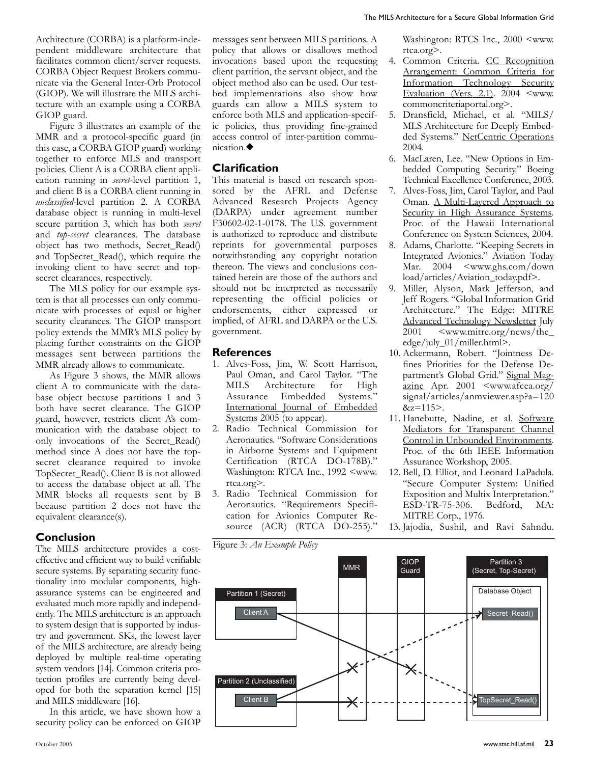Architecture (CORBA) is a platform-independent middleware architecture that facilitates common client/server requests. CORBA Object Request Brokers communicate via the General Inter-Orb Protocol (GIOP). We will illustrate the MILS architecture with an example using a CORBA GIOP guard.

Figure 3 illustrates an example of the MMR and a protocol-specific guard (in this case, a CORBA GIOP guard) working together to enforce MLS and transport policies. Client A is a CORBA client application running in *secret*-level partition 1, and client B is a CORBA client running in *unclassified*-level partition 2. A CORBA database object is running in multi-level secure partition 3, which has both *secret* and *top-secret* clearances. The database object has two methods, Secret\_Read() and TopSecret\_Read(), which require the invoking client to have secret and topsecret clearances, respectively.

The MLS policy for our example system is that all processes can only communicate with processes of equal or higher security clearances. The GIOP transport policy extends the MMR's MLS policy by placing further constraints on the GIOP messages sent between partitions the MMR already allows to communicate.

As Figure 3 shows, the MMR allows client A to communicate with the database object because partitions 1 and 3 both have secret clearance. The GIOP guard, however, restricts client A's communication with the database object to only invocations of the Secret\_Read() method since A does not have the topsecret clearance required to invoke TopSecret\_Read(). Client B is not allowed to access the database object at all. The MMR blocks all requests sent by B because partition 2 does not have the equivalent clearance(s).

#### **Conclusion**

The MILS architecture provides a costeffective and efficient way to build verifiable secure systems. By separating security functionality into modular components, highassurance systems can be engineered and evaluated much more rapidly and independently. The MILS architecture is an approach to system design that is supported by industry and government. SKs, the lowest layer of the MILS architecture, are already being deployed by multiple real-time operating system vendors [14]. Common criteria protection profiles are currently being developed for both the separation kernel [15] and MILS middleware [16].

In this article, we have shown how a security policy can be enforced on GIOP

messages sent between MILS partitions. A policy that allows or disallows method invocations based upon the requesting client partition, the servant object, and the object method also can be used. Our testbed implementations also show how guards can allow a MILS system to enforce both MLS and application-specific policies, thus providing fine-grained access control of inter-partition communication.◆

## **Clarification**

This material is based on research sponsored by the AFRL and Defense Advanced Research Projects Agency (DARPA) under agreement number F30602-02-1-0178. The U.S. government is authorized to reproduce and distribute reprints for governmental purposes notwithstanding any copyright notation thereon. The views and conclusions contained herein are those of the authors and should not be interpreted as necessarily representing the official policies or endorsements, either expressed or implied, of AFRL and DARPA or the U.S. government.

#### **References**

- 1. Alves-Foss, Jim, W. Scott Harrison, Paul Oman, and Carol Taylor. "The MILS Architecture for High Assurance Embedded Systems." International Journal of Embedded Systems 2005 (to appear).
- 2. Radio Technical Commission for Aeronautics. "Software Considerations in Airborne Systems and Equipment Certification (RTCA DO-178B)." Washington: RTCA Inc., 1992 <www. rtca.org>.
- 3. Radio Technical Commission for Aeronautics. "Requirements Specification for Avionics Computer Resource (ACR) (RTCA DO-255)."

Washington: RTCS Inc., 2000 <www. rtca.org>.

- 4. Common Criteria. CC Recognition Arrangement: Common Criteria for Information Technology Security Evaluation (Vers. 2.1).  $2004 \leq$ www. commoncriteriaportal.org>.
- 5. Dransfield, Michael, et al. "MILS/ MLS Architecture for Deeply Embedded Systems." NetCentric Operations 2004.
- 6. MacLaren, Lee. "New Options in Embedded Computing Security." Boeing Technical Excellence Conference, 2003.
- 7. Alves-Foss, Jim, Carol Taylor, and Paul Oman. A Multi-Layered Approach to Security in High Assurance Systems. Proc. of the Hawaii International Conference on System Sciences, 2004.
- 8. Adams, Charlotte. "Keeping Secrets in Integrated Avionics." Aviation Today Mar. 2004 <www.ghs.com/down load/articles/Aviation\_today.pdf>.
- 9. Miller, Alyson, Mark Jefferson, and Jeff Rogers. "Global Information Grid Architecture." The Edge: MITRE Advanced Technology Newsletter July 2001 <www.mitre.org/news/the\_ edge/july\_01/miller.html>.
- 10. Ackermann, Robert. "Jointness Defines Priorities for the Defense Department's Global Grid." Signal Magazine Apr. 2001 <www.afcea.org/ signal/articles/anmviewer.asp?a=120  $&z=115$ .
- 11. Hanebutte, Nadine, et al. Software Mediators for Transparent Channel Control in Unbounded Environments. Proc. of the 6th IEEE Information Assurance Workshop, 2005.
- 12. Bell, D. Elliot, and Leonard LaPadula. "Secure Computer System: Unified Exposition and Multix Interpretation." ESD-TR-75-306. Bedford, MA: MITRE Corp., 1976.

13. Jajodia, Sushil, and Ravi Sahndu.

Figure 3: *An Example Policy*